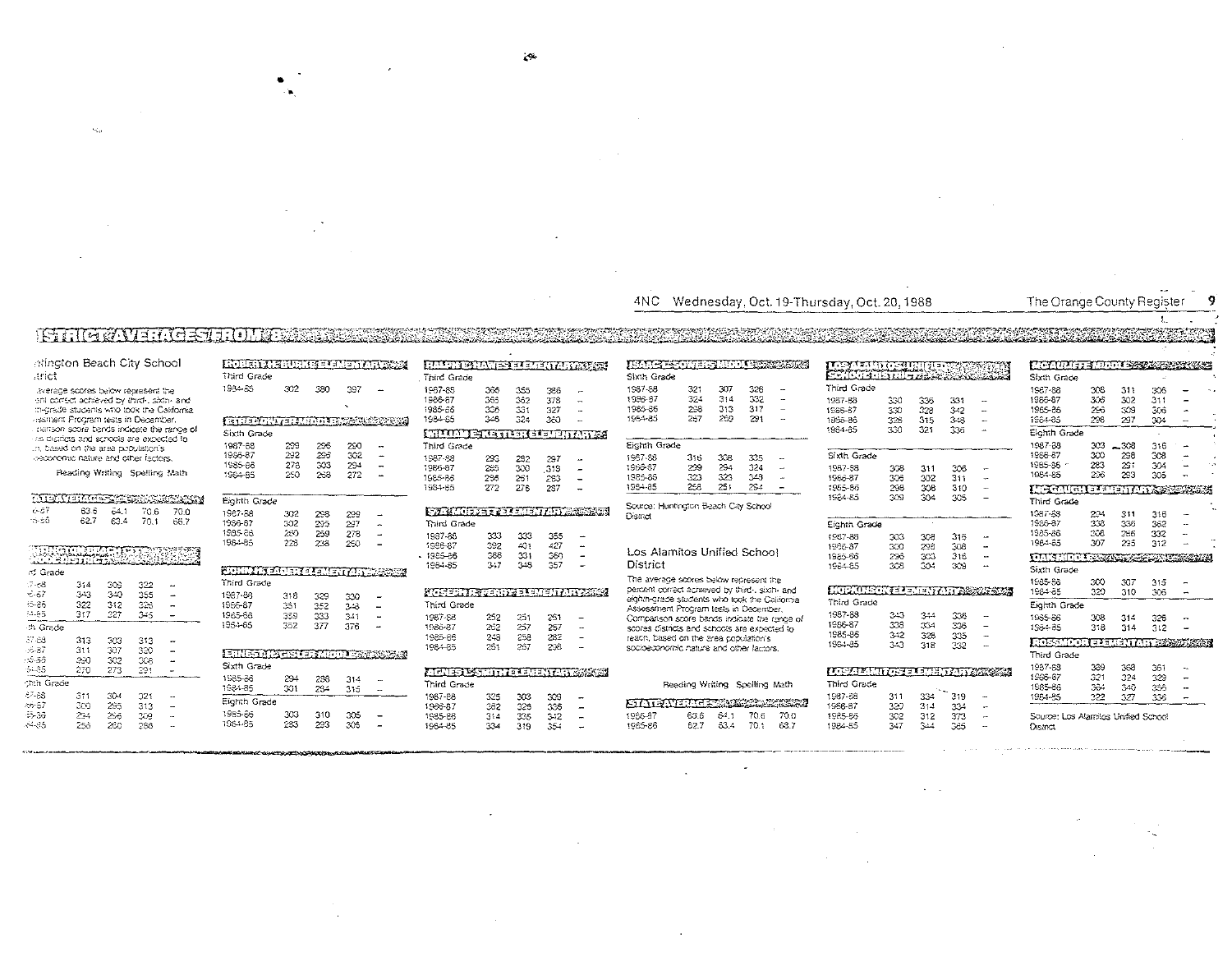#### 4NC Wednesday, Oct. 19-Thursday, Oct. 20, 1988

### The Orange County Register

## ŧ.

### atington Beach City School arict.

**ISTILL WAVE FREESTED THE SEC** 

 $\mathbf{v}_\mathrm{eff}$ 

average scores below represent the ent correct achieved by third-, sixth- and migrade students who took the California assitient Program tests in December. . parison score bands indicate the range of las districts and schools are expected to in, based on the area population's oeconomic nature and other factors.

#### Reading Writing Spelling Math

| <u>to renther community and the second second second second second second second second second second second seco</u> |         |      |      | <b>Contraction of the State</b> |
|-----------------------------------------------------------------------------------------------------------------------|---------|------|------|---------------------------------|
| 6-BT                                                                                                                  | 63.6    | 64.1 | 70.6 | 70 a                            |
| 16-86                                                                                                                 | 62.7    | £3.4 | 70.1 | 65.7                            |
|                                                                                                                       |         |      |      |                                 |
|                                                                                                                       |         |      |      |                                 |
|                                                                                                                       |         |      |      |                                 |
| <u> TERRITORIA</u>                                                                                                    |         |      |      |                                 |
| <i>ನ</i> Grade                                                                                                        |         |      |      |                                 |
| 17-68                                                                                                                 | 314     | coa  | 322  |                                 |
| $-0.67$                                                                                                               | $3 + 3$ | 340  | 355  |                                 |
| ್-ಕಿಕೆ                                                                                                                | 322     | 312  | 323  |                                 |
| 54.65                                                                                                                 | 317     | 327  | 345  |                                 |
| ch Grade                                                                                                              |         |      |      |                                 |
| 37.88                                                                                                                 | 313     | 323  | 313  |                                 |
| -6-37                                                                                                                 | 311     | 307  | 320  |                                 |
| ುತಿಕ                                                                                                                  | 230     | 302  | CG.  |                                 |
| -54.85                                                                                                                | 270     | 273  | 291  |                                 |
| <b>Cah Grade</b>                                                                                                      |         |      |      |                                 |
| 87-88                                                                                                                 | 311     | 30-l | 321  |                                 |
| 86-57                                                                                                                 | 300     | 495  | 313  |                                 |
| -5-36                                                                                                                 | 234     | 256  | 309  |                                 |
| 64.85                                                                                                                 | つらみ     | 260  | 298  | $\overline{a}$                  |

| ROBERT ARBURI I SEPERENTA ROOM       |     |     |     |         | <u>FRIT.</u>   |
|--------------------------------------|-----|-----|-----|---------|----------------|
| Third Grade                          |     |     |     |         | Third Gr       |
| 1934-85                              | 302 | 380 | 397 |         | 1967-88        |
|                                      |     |     |     |         | 1986-87        |
|                                      |     |     |     |         | 1985-66        |
| <b>ISTUARTMENT METAL SORRA</b>       |     |     |     |         | 1984-85        |
| Sixth Grade                          |     |     |     |         | لمقتلسة        |
| 1987-88                              | 299 | 296 | 230 |         | Third Gr       |
| 1986-87                              | 292 | 296 | 302 | ۰       | 1987-98        |
| 1985-86                              | 278 | 303 | 294 | -       | 1966-87        |
| 1984-85                              | 250 | 268 | 272 | <b></b> | 1585-86        |
|                                      |     |     |     |         | 1984-85        |
| Eighth Grade                         |     |     |     |         |                |
| 1987-88                              | 302 | 298 | 299 |         | E 21 S.        |
| 1986-87                              | 302 | 295 | 297 | ۰.      | Third G        |
| 1985-86                              | 260 | 259 | 278 |         | 1987-86        |
| 1984-85                              | 228 | 238 | 250 |         | 1986-87        |
|                                      |     |     |     |         | - 1985-86      |
| <u>STIMMET FOR I ELEMENTARY SOSS</u> |     |     |     |         | 1984-85        |
| Third Grade                          |     |     |     |         |                |
| 1987-88                              | 318 | 329 | 330 |         | <u>ktere </u>  |
| 1955-87                              | 351 | 352 | 348 |         | Third G        |
| 1965-68                              | 359 | 233 | 241 | ä.      | 1987-S8        |
| 1964-65                              | 352 | 377 | 376 | z.      | 1986-87        |
|                                      |     |     |     |         | 1985-66        |
|                                      |     |     |     |         | 1984-85        |
| ERED (Action of Motor States)        |     |     |     |         |                |
| Sixth Grade                          |     |     |     |         | <u>a terra</u> |
| 1985-86                              | 294 | 238 | 314 |         | Third G        |
| 1984-85                              | 301 | 234 | 315 |         | 1967-88        |
| Eighth Grade                         |     |     |     |         | 1986-87        |
| 1985-86                              | 303 | 310 | 305 |         | 1985-86        |
| 1984-85                              | 283 | 233 | 305 |         | 1984-85        |

| HALTI PALMI PI TUTATI ALTERRIT        |         |     |     |                          | <b>JEMMYSTATIST STATISTICS</b>                                                         |                               |      |      |                          |
|---------------------------------------|---------|-----|-----|--------------------------|----------------------------------------------------------------------------------------|-------------------------------|------|------|--------------------------|
| Third Grade                           |         |     |     |                          | Sixth Grade                                                                            |                               |      |      |                          |
| 1967-88                               | 366     | 355 | 366 | $\overline{\phantom{a}}$ | 1987-88                                                                                | 321                           | 307  | 326  | -                        |
| 1986-87                               | 365     | 362 | 378 | $\rightarrow$            | 1936-87                                                                                | 324                           | 314  | 332  | -                        |
| 1985-66                               | 326     | 331 | 327 |                          | 1985-86                                                                                | 298                           | 313  | 317  |                          |
| 1984-65                               | $3 - 6$ | 324 | 350 |                          | 1954-85                                                                                | 257                           | 269  | 291  |                          |
| <b>ITIKAN PIERRE ISI SEPIETENTIKA</b> |         |     |     |                          |                                                                                        |                               |      |      |                          |
| Third Grade                           |         |     |     |                          | Eighth Grade                                                                           |                               |      |      |                          |
| 1987-98                               | 293     | 232 | 297 | 44                       | 1967-88                                                                                | 316                           | 338  | 335  | -                        |
| 1966-87                               | 285     | 300 | 318 |                          | 1956-87                                                                                | 299                           | 294  | 324  | $\overline{\phantom{a}}$ |
| 1585-86                               | 225     | 261 | 223 |                          | 1985-86                                                                                | 323                           | 323  | 348  |                          |
| 1984-85                               | 272     | 276 | 237 |                          | 1984-85                                                                                | 258                           | 251  | 294  | -                        |
|                                       |         |     |     |                          | Source: Huntington Beach City School                                                   |                               |      |      |                          |
| <b>FAMILIER PRESIDENT</b>             |         |     |     |                          | <b>District</b>                                                                        |                               |      |      |                          |
| Third Grade                           |         |     |     |                          |                                                                                        |                               |      |      |                          |
| 1987-86                               | 333     | 333 | 355 |                          |                                                                                        |                               |      |      |                          |
| 1986-87                               | 392     | 401 | 427 | ÷.                       | Los Alamitos Unified School                                                            |                               |      |      |                          |
| 1985-86                               | 366     | 331 | 360 |                          |                                                                                        |                               |      |      |                          |
| 1984-85                               | $3 - 7$ | 348 | 357 |                          | District                                                                               |                               |      |      |                          |
|                                       |         |     |     |                          | The average scores below represent the                                                 |                               |      |      |                          |
| Material Stering Political Annual     |         |     |     |                          | percent correct achieved by third-, sixth- and                                         |                               |      |      |                          |
| Third Grade                           |         |     |     |                          | eighth-grade students who took the California<br>Assessment Program tests in December, |                               |      |      |                          |
| 1987-S8                               | 252     | 251 | 251 |                          | Companison score bands indicate the rance of                                           |                               |      |      |                          |
| 1986-87                               | 262     | 257 | 267 |                          | scores districts and schools are expected to                                           |                               |      |      |                          |
| 1985-66                               | 243     | 258 | 232 |                          | reach, based on the area coodiation's                                                  |                               |      |      |                          |
| 1984-85                               | 261     | 257 | 238 |                          | socioeconomic nature and other factors.                                                |                               |      |      |                          |
|                                       |         |     |     |                          |                                                                                        |                               |      |      |                          |
| ATANG PASNITY IN INDINAN SAWAT        |         |     |     |                          |                                                                                        |                               |      |      |                          |
| <b>Third Grade</b>                    |         |     |     |                          |                                                                                        | Reading Writing Spelling Math |      |      |                          |
| 1987-88                               | 325     | 303 | 309 |                          |                                                                                        |                               |      |      |                          |
| 1966-87                               | 362     | 326 | 335 |                          | <b>FINENTIAL STRIP IN A PRO</b>                                                        |                               |      |      |                          |
| 1985-86                               | 314     | 335 | 3.2 |                          | 1936-87                                                                                | 63.6                          | 64.1 | 70.6 | 70.0                     |

334

319 354

| ixth Grade  |     |     |      |  |
|-------------|-----|-----|------|--|
| \$87-88     | 321 | 307 | 326  |  |
| 986-87      | 324 | 314 | 332  |  |
| 985-86      | 238 | 313 | 317  |  |
| 954-85      | 257 | 259 | 291  |  |
|             |     |     |      |  |
| ichth Grade |     |     |      |  |
| 987-88      | 315 | 308 | 335  |  |
| 966-87      | 299 | 294 | 324  |  |
| 985-86      | 323 | 323 | 348  |  |
| 984-85      | 258 | 251 | 29.4 |  |
|             |     |     |      |  |

#### Los Alamitos Unified School Jistrict

### Reading Writing Spelling Math

<u>TATANEN ERRESTER</u> 1966-87 63.6  $64.1$   $70.6$   $70.0$ 1985-86 62.7 63.4 70.1 68.7

| <b>स्टक्ष्ट प्रति स्टब्स्</b> स्टब्स्                                                                                 |         | ក្ខព្ |     |    | 化空气中的 计字句 医白色紫色                   |     |                          |     |   |  |
|-----------------------------------------------------------------------------------------------------------------------|---------|-------|-----|----|-----------------------------------|-----|--------------------------|-----|---|--|
| <b>PORTUGUE DE L'ASSESS</b>                                                                                           |         |       |     |    | Sixth Grade                       |     |                          |     |   |  |
| Third Grade                                                                                                           |         |       |     |    | 1987-88                           | 306 | 311                      | 305 |   |  |
| 1957-88                                                                                                               | 330     | 336   | 331 | -  | 1986-87                           | 306 | 302                      | 311 |   |  |
| 1986-67                                                                                                               | 330     | 328   | 342 |    | 1985-86                           | 296 | 309                      | 306 |   |  |
| 1985-86                                                                                                               | 326     | 315   | 318 |    | 1984-85                           | 298 | 297                      | 304 |   |  |
| 1984-85                                                                                                               | 330     | 321   | 336 |    | Eighth Grade                      |     |                          |     |   |  |
|                                                                                                                       |         |       |     |    | 1987-88                           | 303 | $-308$                   | 316 |   |  |
| Sixth Grade                                                                                                           |         |       |     |    | 1986-87                           | 300 | 298                      | 308 |   |  |
| 1987-98                                                                                                               | 308     | 311   | 306 |    | 1985-36 ~                         | 283 | 291                      | 304 |   |  |
| 1986-87                                                                                                               | 306     | 302   | 311 |    | 1984-85                           | 236 | 293                      | 305 |   |  |
| 1955-86                                                                                                               | 298     | 308   | 310 |    | <b>NIFEAUGHE LEADH AN 2002 AS</b> |     |                          |     |   |  |
| 1584-85                                                                                                               | 309     | 304   | 305 |    | Third Grade                       |     |                          |     |   |  |
|                                                                                                                       |         |       |     |    | 1987-88                           | 224 | 311                      | 316 |   |  |
| Eighth Grade                                                                                                          |         |       |     |    | 1986-87                           | 338 | 336                      | 362 |   |  |
| 1987-88                                                                                                               | 303     | 308   | 316 |    | 1985-36                           | 308 | 286                      | 332 |   |  |
| 1986-87                                                                                                               | 300     | 298   | 308 |    | 1984-65                           | 307 | 295                      | 312 |   |  |
| 1985-66                                                                                                               | 296     | 303   | 316 |    | <u> PENNET BRANDSBERG HERMAN</u>  |     |                          |     |   |  |
| 1984-85                                                                                                               | 308     | 304   | 309 | н. | Sixth Grade                       |     |                          |     |   |  |
|                                                                                                                       |         |       |     |    | 1985-88                           | 300 | 307                      | 315 |   |  |
| <b>L'actual de la partie de la partie de la partie de la partie de la partie de la partie de la partie de la part</b> |         |       |     |    | 1984-85                           | 320 | 310                      | 306 | ÷ |  |
| Third Grade                                                                                                           |         |       |     |    | Eighth Grade                      |     |                          |     |   |  |
| 1987-58                                                                                                               | $3 + 3$ | 344   | 336 |    | 1965-86                           | 308 | 314                      | 326 |   |  |
| 1986-87                                                                                                               | 338     | 334   | 336 |    | 85ج-195                           | 3:8 | 314                      | 312 |   |  |
| 1985-86                                                                                                               | 342     | 328   | 335 | ÷  |                                   |     |                          |     |   |  |
| 1984-85                                                                                                               | 343     | 318   | 332 |    | <b>L'OSSN'001</b>                 |     | TA TURIT AT A SENSIMASIN |     |   |  |
|                                                                                                                       |         |       |     |    | Third Grade                       |     |                          |     |   |  |
| <b>। ਸ਼ਿਆਦਾ ਸ਼ਿਲਜ਼ ਦਾ ਜਾਂਦਰ ਸ਼ਿਲਜ਼ ਨਾਲ 1973 ਵਿੱਚ ਸ਼ਿਲਜ਼ ਦੇ ਸ਼ਿਲਜ਼ ਦੇ ਸ਼ਿਲਜ਼ ਦੇ ਸ਼ਿਲਜ਼ ਦੇ ਸ਼ਿਲਜ਼ ਦੇ ਸ਼ਿਲਜ਼ ਦੇ ਸ਼ਿਲ</b> |         |       |     |    | 1987-88                           | 389 | 368                      | 361 |   |  |
| <b>Third Grade</b>                                                                                                    |         |       |     |    | 1966-67                           | 321 | 324                      | 329 |   |  |
|                                                                                                                       |         |       |     |    | 1985-86                           | 3ô4 | 340                      | 356 |   |  |
| 1987-88                                                                                                               | 311     | 334   | 319 |    | 1984-85                           | 322 | 327                      | 336 | ÷ |  |
| 1986-87                                                                                                               | 320     | 314   | 334 |    |                                   |     |                          |     |   |  |

 $\frac{302}{347}$ 

 $312$ <br> $344$ 

 $373$ 

365

1985-86

1984-85

Source: Los Alamitos Unified School **District**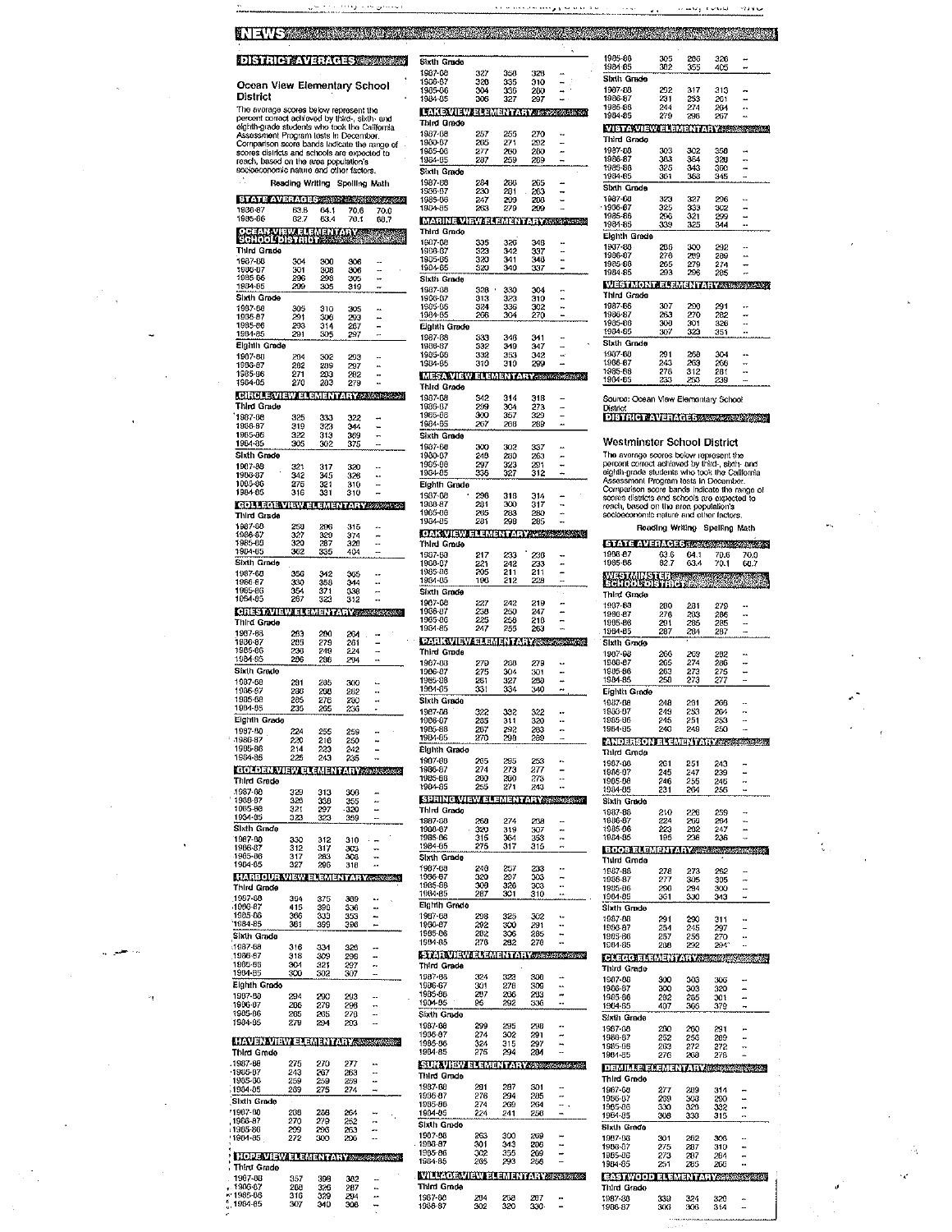# **NEWS CONSTRUCTION OF A REPORT OF A REPORT OF A REPORT OF A REPORT OF A REPORT OF A REPORT OF A REPORT OF A REP**

**DISTRICT WERKERS WERE** 

Ocean View Elementary School<br>District

The average scores below represent the<br>procent correct achieved by third., sixth- and<br>eighth grade students who took the California<br>eighth grade students who took the California<br>Comparison score bands Indicate the range of

Reading Writing Spelling Mati

| <b>ETATE AVECAGE ASSESSMENTS</b><br>1986 87                 | 63.6            | 64.1       | 70.6          | 70.0 |
|-------------------------------------------------------------|-----------------|------------|---------------|------|
| 1985-86                                                     | 62.7            | 63.4       | 70.1          | 88.7 |
| <b>SCHOOL</b>                                               | A dina<br>Kalèn |            | anzanya.<br>T |      |
| Third Grade<br>1987-80                                      | 304             | 300        | 306           |      |
| 1986-87<br>1985-06                                          | 301<br>206      | 308<br>298 | 306<br>305    |      |
| 1984-85<br>Sixth Grade                                      | 299             | 305        | 319           |      |
| 1987-08                                                     | 305             | 310        | 305           |      |
| 1986-87<br>1985-36                                          | 201<br>293      | 308<br>314 | 293<br>207    |      |
| 1904-85                                                     | 291             | 305        | 297           |      |
| Eighth Grade<br>1907-08                                     | 204             | 302        | 293           | ٠.   |
| 1906-87<br>1985-86                                          | 282<br>271      | 209<br>203 | 297<br>282    |      |
| 1904-05                                                     | 270             | 20Ī        | 279           |      |
| <b>CIRCLE VIEW ELEMENTARY ASSESSED</b><br>Third Grade       |                 |            |               |      |
| 1987-68                                                     | 325             | 333        | 322           |      |
| 1986-87<br>1985-06                                          | 319<br>322      | 323        | 344<br>369    |      |
| 1904-85                                                     | 305             | 313<br>302 | 375           |      |
| Sixth Grade<br>1987-88                                      | 321             | 317        | 320           |      |
| 1906-87<br>1005-86                                          | 342<br>275      | 345        | 326           | ۰.   |
| 1984-85                                                     | 316             | 321<br>331 | 310<br>310    |      |
| <b>COLLEGE VIEW ELEMENTARY SORRANZ</b>                      |                 |            |               |      |
| Third Grade<br>1987-00                                      | 250             | 206        | 315           |      |
| 1986-87<br>1985-00                                          | 327<br>320      | 320<br>287 | 374<br>320    |      |
| 1984-05                                                     | 362             | 335        | 404           |      |
| Sixth Grade<br>1987-68                                      | 356             | 342        | 365           |      |
| 1986-87<br>1985-86                                          | 320<br>354      | 358<br>371 | 344<br>338    |      |
| 1084-85                                                     | 287             | 323        | 312           |      |
| <b>CERES AVIEWER CARE IN A LIVE SERVICE</b><br>Third Grade  |                 |            |               |      |
| 1907-68                                                     | 203             | 200        | 264           |      |
| 1986-87<br>1905-86                                          | 205<br>236      | 279<br>249 | 261<br>224    |      |
| 1984 85                                                     | 206             | 208        | 204           |      |
| Sixth Grade<br>1087-08                                      | 201             | 265        | 300           |      |
| 1986-87<br>1985-08                                          | 266<br>285      | 200        | 202           |      |
| 1904-05                                                     | 235             | 276<br>265 | 200<br>236    |      |
| Eighth Grade                                                |                 |            |               |      |
| 1987-00<br>-1986-87                                         | 224<br>220      | 255<br>216 | 259<br>250    |      |
| 1905-86<br>1984-85                                          | 214<br>225      | 223<br>243 | 242<br>235    |      |
| <b>GOLDEN VIEW ELEMENTARY STORESS!</b>                      |                 |            |               |      |
| Third Grade<br>1987-00                                      | 329             | 313        | 300           |      |
| 1988-87                                                     | 320             | 338        | 355           |      |
| 1005-00<br>1934-85                                          | 321<br>323      | 297<br>323 | 320<br>359    |      |
| Sixth Grade                                                 |                 |            |               |      |
| 1987-00<br>1906-87                                          | 330<br>312      | 312<br>317 | 310<br>303    |      |
| 1985-86<br>1904-05                                          | 317<br>327      | 283<br>296 | 309<br>318    |      |
| <b>HARBOUR VIEW ELEMENTARY ASSESS</b>                       |                 |            |               |      |
| Third Grade<br>1987-88                                      |                 |            |               |      |
| 1906-87                                                     | 394<br>415      | 375<br>390 | 309<br>336    |      |
| 1905-86<br>1984-85                                          | 306<br>381      | 339<br>399 | 353<br>396    |      |
| Sixth Grade                                                 |                 |            |               |      |
| 1987-08<br>1988-07                                          | 316<br>318      | 331<br>309 | 320<br>298    |      |
| 1935-06<br>1904-85                                          | 301<br>300      | 321<br>302 | 297<br>307    |      |
| Eighth Grado                                                |                 |            |               |      |
| 1937-00                                                     | 294             | 290        | 293           |      |
| 1906-87<br>1985-86                                          | 206<br>265      | 279<br>265 | 203<br>270    |      |
| 1984-85                                                     | 279             | 294        | 293           |      |
| <b>HAVEN VIEW ELEMENTARY STOREOGY</b>                       |                 |            |               |      |
| Third Grade                                                 |                 |            |               |      |
| 1987-09<br>$-1906-07$                                       | 275<br>243      | 270<br>267 | 277<br>263    |      |
| 1985-86<br>1904-05                                          | 259<br>269      | 259<br>275 | 259<br>274    |      |
| Sixth Grade                                                 |                 |            |               |      |
| 1907-00<br>1906-87                                          | 288<br>270      | 288<br>270 | 264<br>252    |      |
| 1905-86<br>' 1904-85                                        | 299<br>272      | 296<br>300 | 263<br>290    |      |
|                                                             |                 |            |               |      |
| <b>HOPE VIEW ELEMENTARY STATE CONTINUES.</b><br>Third Grade |                 |            |               |      |
| 1987-08                                                     | 357<br>200      | 398        | 302           |      |
| 1906-87<br>** 1985-06                                       | 316             | 326<br>329 | 287<br>204    |      |
| $\frac{a}{a}$ , 1984-85                                     | 307             | 340        | 308           |      |

للبر  $\ddotsc$ 

 $\mathbf{z}_1$ 

| Sixth Grade                                                |                   |                   |                   | i,                       | 1905-06<br>1981-85                                                                   | 305<br>302         | 206<br>355 | 320<br>405                 |
|------------------------------------------------------------|-------------------|-------------------|-------------------|--------------------------|--------------------------------------------------------------------------------------|--------------------|------------|----------------------------|
| 1987-08<br>1906-67                                         | 327<br>320        | 350<br>335        | 328<br>310        |                          | Sixth Grade                                                                          |                    |            |                            |
| 1985-06<br>1984-05                                         | 304<br>306        | 336<br>327        | 200<br>207        |                          | 1907-80<br>1986-87                                                                   | 292<br>231         | 317<br>253 | 313<br>261                 |
| <b>LAKOVIEW ELEMENTARY SECONDOMY</b>                       |                   |                   |                   |                          | 1985-06<br>1984-85                                                                   | 244<br>279         | 274<br>298 | 204<br>267                 |
| Third Grade<br>1987-08                                     | 257               | 255               | 270               |                          | <b>VISTA VIEW ELEMENTARY SER</b><br>Third Grade                                      |                    |            |                            |
| 1900-07<br>1985-06                                         | 205<br>277        | 271<br>200        | 292<br>200        |                          | 1987-58                                                                              | 303                | 302        | 350                        |
| 1984-85<br>Sixih Grade                                     | 287               | 259               | 289               |                          | 1986-87<br>1985-86                                                                   | 303<br>325         | 364<br>343 | 320<br>360                 |
| 1987-00<br>1936-87                                         | 284<br>230        | 285<br>281        | 265<br>263        |                          | 1984-85<br>Sixth Grade                                                               | 361                | 368        | 345                        |
| 1985-06<br>1984-85                                         | 247<br>263        | 209<br>279        | 20.0<br>299       |                          | 1987-00<br>1935-67                                                                   | 323<br>325         | 327<br>333 | 296<br>302                 |
| <b>MARINE VIEW ELEMENTARY 20224252524</b>                  |                   |                   |                   |                          | 1985-86<br>1984-85                                                                   | 296<br>339         | 321<br>325 | 299<br>344                 |
| Third Grade<br>1987-08                                     | 335               | 326               | 348               |                          | Eighth Grade                                                                         |                    |            |                            |
| 1906-87<br>1905-06                                         | 323<br>320        | 342<br>341        | 337<br>348        |                          | 1937-00<br>1986-87                                                                   | 206<br>276         | 300<br>209 | 292<br>289                 |
| 1984-85<br>Sixth Grade                                     | 320               | 310               | 337               |                          | 1985-86<br>1904-85                                                                   | 265<br>293         | 279<br>296 | 274<br>285                 |
| 1987-88                                                    | 328               | 330               | 304               | н,                       | <b>WESTMONT ELEMENTARY ROOM</b><br>Third Grade                                       |                    |            |                            |
| 1906-87<br>1935-06<br>1984-05                              | 313<br>324<br>266 | 323<br>336<br>304 | 310<br>302<br>270 |                          | 1987-06<br>1906-87                                                                   | 307<br>263         | 200<br>270 | 291<br>282                 |
| Eighth Grade                                               |                   |                   |                   |                          | 1985-86<br>1984-85                                                                   | 300<br>307         | 301<br>323 | 320<br>351                 |
| 1987-88<br>1986-87                                         | 333<br>332        | 346<br>349        | 341<br>347        |                          | Sixth Grade                                                                          |                    |            |                            |
| 1985-08<br>1984-65                                         | 332<br>310        | 353<br>310        | 342<br>299        |                          | 1987-08<br>1936-67                                                                   | 291<br>243         | 269<br>263 | 304<br>268                 |
| <b>MESAVIEW ELEMENTARY ASSISTER</b>                        |                   |                   |                   |                          | 1985-86<br>1984-85                                                                   | 278<br>233         | 312<br>253 | 281<br>239                 |
| Third Grade<br>1987-08                                     | 342               | 314               | 318               |                          | Source: Ocean View Elementary Schoo                                                  |                    |            |                            |
| 1986-07<br>1985-86                                         | 299<br>300        | 304<br>357        | 273<br>329        |                          | District<br><b>DISTRICT AVERAGES SECOND COLL</b>                                     |                    |            |                            |
| 1984-85<br>Sixth Grade                                     | 267               | 208               | 289               | $\overline{\phantom{a}}$ |                                                                                      |                    |            |                            |
| 1987-00<br>1980-87                                         | 300<br>240        | 302<br>200        | 337               |                          | Westminster School District<br>The average scores below represent th                 |                    |            |                            |
| 1985-88<br>1984-85                                         | 297<br>336        | 323               | 263<br>291        |                          | percent correct achieved by third-, sixth<br>eighth-grade students who took the Call |                    |            |                            |
| Eighth Grade                                               |                   | 327               | 312               |                          | Assessment Program tests in Decembe<br>Comparison score bands indicate the ra        |                    |            |                            |
| 1937-08<br>1988-87                                         | 296<br>281        | 318<br>300        | 314<br>317        | ۰.,                      | scores districts and schools are expecto<br>reach, based on the area population's    |                    |            |                            |
| 1985-08<br>1984-85                                         | 265<br>281        | 263<br>298        | 280<br>285        |                          | socioeconomic nature and other factors                                               |                    |            |                            |
| <b>CARVIEW ELEMENTARY ACCEPTANCE</b>                       |                   |                   |                   |                          |                                                                                      |                    |            | Reading Writing Spelling N |
| Tixird Grade<br>1987-00                                    | 217               | 233               | 236               |                          | <b>STATE AVERAGE STATES</b><br>1908-07                                               | 63.6               | 64.1       | 70.6                       |
| 1908-07<br>1985-86                                         | 221<br>205        | 242<br>211        | 233<br>211        |                          | 1985-06                                                                              | 827<br>土地          | 634        | 70.1                       |
| 1984-05<br>Sixth Grade                                     | 196               | 212               | 228               |                          | <b>WESTMINS</b><br>Third Grade                                                       | inibe <sub>s</sub> |            |                            |
| 1907-08<br>1986-87                                         | 227<br>238        | 242<br>250        | 219<br>247        |                          | 1987-80                                                                              | 280                | 281        | 279                        |
| 1985-86                                                    | 225               | 258               | 218               |                          | 1986-87<br>1905-86                                                                   | 276<br>291         | 203<br>205 | 286<br>285                 |
|                                                            |                   |                   |                   |                          |                                                                                      |                    |            |                            |
| 1984-85<br>PARK VIEW ELEMENTARY ARM ASSAMA                 | 247               | 255               | 263               |                          | 1984-85<br>Sixth Grade                                                               | 287                | 204        | 287                        |
| Third Grade<br>1987-08                                     | 270               | 200               | 279               | ٠.                       | 1937-98<br>1908-87                                                                   | 260<br>265         | 269<br>274 | 282<br>286                 |
| 1906-87<br>1985-88                                         | 275<br>281        | 304<br>327        | 301<br>200        |                          | 1985-86<br>1904-85                                                                   | 263<br>250         | 273<br>273 | 275<br>277                 |
| 1904-65                                                    | 331               | 334               | 340               | ۰.                       | Eighth Grade                                                                         |                    |            |                            |
| Sixth Grade<br>1987-08                                     | 322               | 332               | 322               |                          | 1987-08<br>1936-07                                                                   | 249<br>249         | 261<br>253 | 266<br>264                 |
| 1986-87<br>1905-88                                         | 285<br>207        | 311<br>292        | 320<br>203        |                          | 1985-06<br>1984-05                                                                   | 245<br>240         | 251<br>249 | 253<br>250                 |
| 384-85<br>Eighth Grade                                     | 270               | 29.B              | 209               |                          | التسليليات<br>Third Grade                                                            | 胆                  |            | a seri                     |
| 1907-80<br>1986-87                                         | 265<br>274        | 295<br>273        | 253               |                          | 1937-08                                                                              | 261                | 251        | 243                        |
| 1985-86<br>1984-85                                         | 200<br>255        | 200<br>271        | 277<br>273<br>243 | μ.                       | 1986-07<br>1905-08                                                                   | 245<br>246         | 247<br>255 | 239<br>245                 |
| <b>SPRING VIEW ELEMENTARY ANDREWS</b>                      |                   |                   |                   |                          | 1904-05<br>Sixth Grade                                                               | 231                | 261        | 255                        |
| Third Grade<br>1987-88                                     | 260               | 274               | 268               |                          | 1987-88<br>1986-87                                                                   | 210<br>224         | 226<br>269 | 259<br>264                 |
| 1908-87<br>1985-06                                         | 320<br>315        | 319<br>364        | 307<br>353        |                          | 1985-66<br>1904-85                                                                   | 223<br>195         | 202<br>238 | 247<br>236                 |
| 1984-85<br>Sixth Grade                                     | 275               | 317               | 315               |                          | <b>BOODE CENENTALY ASSESSED</b>                                                      |                    |            |                            |
| 1987-08                                                    | 240               | 257               | 233               |                          | Tixird Grade<br>1937-88                                                              | 278                | 273        | 262                        |
| 1936-87<br>1985-86<br>1984-85                              | 320<br>300<br>287 | 297<br>326<br>301 | 303<br>303        |                          | 1986-87<br>1985-06                                                                   | 277<br>200         | 305<br>204 | 305<br>300                 |
| Eighth Grade                                               |                   |                   | 310               |                          | 1904-85<br>Slith Grude                                                               | 361                | 330        | 343                        |
| 1987-08<br>1956-87                                         | 298<br>292        | 325<br>300        | 302<br>291        | ۰.                       | 1987-08<br>1996-87                                                                   | 291<br>254         | 290<br>245 | 311<br>297                 |
| 1985-06<br>1904-85                                         | 282<br>276        | 306<br>282        | 285<br>270        |                          | 1905-86<br>1904-05                                                                   | 257<br>280         | 256<br>292 | 270<br>294°                |
| <b>STAR VIEW ELEMENTARY</b> University of the              |                   |                   |                   |                          | <b>GLEGGELSMETTIST COMPANY</b>                                                       |                    |            |                            |
| Third Grade<br>1987-68                                     | 324               | 323               | 300               |                          | Third Grade<br>1907-08                                                               | 300                | 303        | 306                        |
| 1986-67<br>1985-88                                         | 301<br>207        | 278<br>266        | 309<br>203        | ÷                        | 1936-87<br>1985-86                                                                   | 300<br>282         | 303<br>285 | 320<br>301                 |
| 1904-05<br>Sixth Grade                                     | 96                | 292               | 336               |                          | 1964-85                                                                              | 407                | 366        | 379                        |
| 1987-08                                                    | 299               | 295               | 298               | ÷.<br>-                  | Sixth Grade<br>1987-08                                                               | 200                | 200        | 291                        |
| 1936-07<br>1985-06<br>1904-85                              | 274<br>324<br>275 | 302<br>315<br>204 | 291<br>297<br>284 | ÷                        | 1986-87<br>1985-06                                                                   | 252<br>263         | 256<br>272 | 289<br>272                 |
| <b>SUN VIEW ELEMENTARY SERVICES</b>                        |                   |                   |                   |                          | 1904-65<br><b>DEMILLE ELEMENTARY SERVICE</b>                                         | 276                | 260        | 278                        |
| Third Orade<br>1987-08                                     | 201               | 287               | 301               |                          | Third Grade                                                                          |                    |            |                            |
| 1956-07<br>1985-88                                         | 276<br>274        | 294<br>269        | 265<br>264        | ÷                        | 1987-60<br>1936-87                                                                   | 277<br>269         | 209<br>300 | 314<br>290                 |
| 1984-05                                                    | 224               | 241               | 250               |                          | 1905-86<br>1904-85                                                                   | 330<br>308         | 320<br>333 | 332<br>315                 |
| Sixih Grade<br>1907-08                                     | 263               | 300               | 269               |                          | Sixth Grade<br>1907-06                                                               | 301                | 202        | 306                        |
| 1906-87<br>1985-86                                         | 301<br>302        | 343<br>355        | 200<br>209        | ÷                        | 1906-07<br>1905-86                                                                   | 275<br>275         | 207<br>287 | 310<br>284                 |
| 1984-85                                                    | 265               | 293               | 256               |                          | 1904-85                                                                              | 251                | 285        | 266                        |
| VILLE CEVIEW ELEMENTARY ASSESSED<br>Third Grada<br>1987-00 | 204               | 268               | 207               |                          | <b>EISEROPTI EMENTARYSTS</b><br>Third Grade<br>1987-00                               | 339                | 324        | 320                        |

1985-86<br>1984-85  $\frac{305}{302}$ 206<br>355  $\frac{326}{405}$  $\ddot{.}$ ------- ---<br>1907-80<br>1986-87<br>1985-86<br>1984-85 292<br>231<br>244<br>279 317<br>253<br>274<br>298 313<br>261<br>264<br>267  $\frac{1}{2}$ <u>VIETAVIEVA LEMENTALIZAS SESS</u> Third Grade 1987-28<br>1986-87<br>1986-86<br>1984-85 303<br>303<br>325<br>361 302<br>364<br>343<br>368 350<br>320<br>360<br>345  $\ddot{\phantom{0}}$  $\frac{1}{2}$ Stath Grade<br>1987-00<br>1985-67<br>1985-86<br>1984-65 323<br>325<br>296<br>339 327<br>333<br>321<br>325 296<br>302<br>299<br>344  $\frac{1}{2}$ **Eighth Grade** Fightin<br>1987-88<br>1986-87<br>1985-86<br>1984-85 206<br>276<br>265<br>293 300<br>209<br>279<br>296 292<br>289<br>274<br>285  $\frac{1}{2}$ <u>Mestinon de smentalizado social</u> Third Grade<br>1987-06<br>1988-87<br>1985-86<br>1984-86<br>2011-07 307<br>263<br>300<br>307 290<br>270<br>301<br>323 291<br>282<br>320<br>351  $\frac{1}{2}$ Sixth Grade 1987-88<br>1987-88<br>1985-86<br>1984-85 291<br>243<br>278<br>233 269<br>263<br>312<br>253 304<br>260<br>281<br>239  $\frac{1}{2}$ 

 $\omega$  and  $\mu$  conditions

 $\alpha$  is a  $\omega$ 

.<br>Source: Ocean View Elementary School

District<br>DISTRICTION VERAGES BESCHWEIDINGEN

| percent correct achieved by third-, sixth- and<br>eighth-grade students who took the California<br>Assessment Program tests in December                                          |                        | The average scores below represent the |                 |              |
|----------------------------------------------------------------------------------------------------------------------------------------------------------------------------------|------------------------|----------------------------------------|-----------------|--------------|
| Comparison score bands indicate the range of<br>scores districts and schools are expected to<br>reach, based on the area population's<br>socloeconomic nature and other factors. |                        |                                        |                 |              |
|                                                                                                                                                                                  | <b>Reading Writing</b> |                                        | Spelling Math   |              |
| <b>STATE WEIMGE ROOMS AND ANDER</b>                                                                                                                                              |                        |                                        |                 |              |
| 1906-07<br>1985-06                                                                                                                                                               | 63.6<br>82.7           | 64.1<br>63 4                           | 70.6<br>70.1    | 70.0<br>60.7 |
| <b>ARTANIA</b><br>REFERENC                                                                                                                                                       | 펨                      | in a service and                       |                 | $\sim$       |
| Third Grade                                                                                                                                                                      |                        |                                        |                 |              |
| 1987-80<br>1986-87                                                                                                                                                               | 280<br>276             | 281<br>203                             | 279<br>286      |              |
| 1905-86                                                                                                                                                                          | 291                    | 205                                    | 285             |              |
| 1984-85<br>Sixth Grade                                                                                                                                                           | 287                    | 204                                    | 287             |              |
| 1907-98                                                                                                                                                                          | 263                    | 269                                    |                 |              |
| 1986-87                                                                                                                                                                          | 265                    | 274                                    | 282<br>286      |              |
| 1985-86<br>1904-85                                                                                                                                                               | 263<br>250             | 273<br>273                             | 275<br>277      |              |
| Eighth Grode                                                                                                                                                                     |                        |                                        |                 |              |
| 1987-08                                                                                                                                                                          | 249                    | 261                                    | 266             |              |
| 1986-67<br>1985-06                                                                                                                                                               | 249<br>245             | 253<br>251                             | 264<br>253      |              |
| 1984-05                                                                                                                                                                          | 240                    | 249                                    | 250             |              |
| <b>ANDERSON ELEMENTALY ASSESSMENT</b>                                                                                                                                            |                        |                                        |                 |              |
| Third Grade                                                                                                                                                                      |                        |                                        |                 |              |
| 1987-88                                                                                                                                                                          | 261                    | 251                                    | 243             |              |
| 1986-07<br>1905-08                                                                                                                                                               | 245<br>246             | 247<br>255                             | 239<br>246      |              |
| 1904-05                                                                                                                                                                          | 231                    | 264                                    | .<br>256        |              |
| Sixth Grade                                                                                                                                                                      |                        |                                        |                 |              |
| 1987-88<br>1986-87                                                                                                                                                               | 210<br>224             | 226<br>269                             | 259<br>264      |              |
| 1985-66                                                                                                                                                                          | 223                    | 202                                    | 247             |              |
| 1904-85                                                                                                                                                                          | 195                    | 238                                    | 236             |              |
| <b>BOODE CENENTALY ASSESSMENTS</b><br>abmD bnkrT                                                                                                                                 |                        |                                        |                 |              |
|                                                                                                                                                                                  |                        |                                        |                 |              |
|                                                                                                                                                                                  |                        |                                        |                 |              |
| 1987-88<br>1986-87                                                                                                                                                               | 278                    | 273<br>305                             | 262<br>305      |              |
| 1985-06                                                                                                                                                                          | 277<br>200             | 284                                    | 300             |              |
| 1904-85<br>Slxth Grude                                                                                                                                                           | 361                    | 330                                    | 343             |              |
| 1987-08                                                                                                                                                                          | 291                    | 290                                    | 311             |              |
| 1986-87                                                                                                                                                                          |                        | 245                                    | 297             |              |
| 1905-86<br>1904-85                                                                                                                                                               | 254<br>257<br>200      | 256<br>292                             | 270<br>.<br>294 | ٠.<br>J      |
| <b>CLECCE AS ASSAULT AND ASSAULT AND</b>                                                                                                                                         |                        |                                        |                 |              |
| Third Grade                                                                                                                                                                      |                        |                                        |                 |              |
| 1907-08                                                                                                                                                                          | 300                    | 303                                    | 306             |              |
| 1906-87<br>1985-86                                                                                                                                                               | 300<br>282             | 303<br>285                             | 320             |              |
| 1934-85                                                                                                                                                                          | 407                    | 366                                    | 301<br>379      |              |
| Sixth Grade                                                                                                                                                                      |                        |                                        |                 |              |
| 1987-08<br>1986-87                                                                                                                                                               | 200                    | 200                                    | 291             |              |
| 1985-06                                                                                                                                                                          | 252<br>263             | 256<br>272                             | 289<br>272      |              |
| 1904-65                                                                                                                                                                          | 276                    | 260                                    | 278             |              |
| <b>DEMILLE ELEMENTARY ARRAIGNMENTAL</b>                                                                                                                                          |                        |                                        |                 |              |
| Third Grade                                                                                                                                                                      |                        |                                        |                 |              |
| 1987-60<br>1906-07                                                                                                                                                               | 277<br>269             | 209<br>300                             | 314<br>290      |              |
| 1985-86                                                                                                                                                                          | 530                    | 320<br>333                             | 552             |              |
| 1904-85<br>Sixth Grade                                                                                                                                                           | 308                    |                                        | 315             |              |
| 1907-08                                                                                                                                                                          | 301                    | 202                                    |                 |              |
| 1906-07                                                                                                                                                                          | 275                    | 287                                    | 306<br>310      |              |
| 1905-86<br>1904-85                                                                                                                                                               | 275<br>251             | 287<br>28.S                            | 284<br>265      |              |
|                                                                                                                                                                                  |                        |                                        |                 |              |
| Third Grade                                                                                                                                                                      |                        |                                        |                 |              |
| 1987-80<br>19.16-87                                                                                                                                                              | 339<br>306             | 324<br>306                             | 320<br>314      |              |

 $\hat{L}$